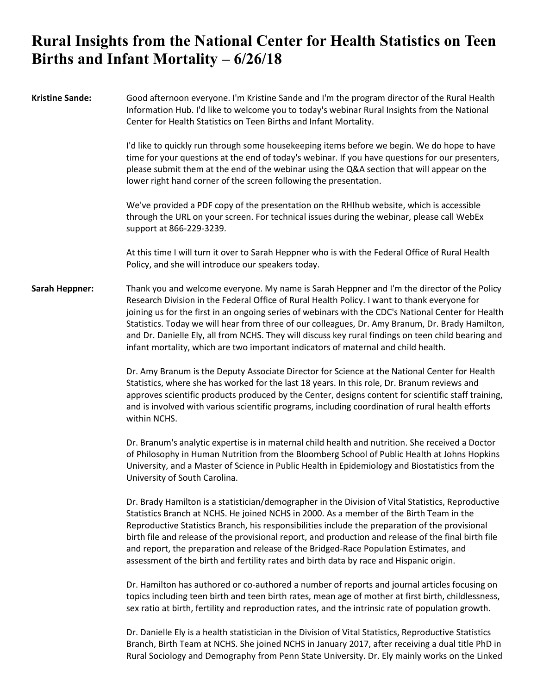## **Rural Insights from the National Center for Health Statistics on Teen Births and Infant Mortality – 6/26/18**

| <b>Kristine Sande:</b> | Good afternoon everyone. I'm Kristine Sande and I'm the program director of the Rural Health<br>Information Hub. I'd like to welcome you to today's webinar Rural Insights from the National<br>Center for Health Statistics on Teen Births and Infant Mortality.                                                                                                                                                                                                                                                                                                                                   |
|------------------------|-----------------------------------------------------------------------------------------------------------------------------------------------------------------------------------------------------------------------------------------------------------------------------------------------------------------------------------------------------------------------------------------------------------------------------------------------------------------------------------------------------------------------------------------------------------------------------------------------------|
|                        | I'd like to quickly run through some housekeeping items before we begin. We do hope to have<br>time for your questions at the end of today's webinar. If you have questions for our presenters,<br>please submit them at the end of the webinar using the Q&A section that will appear on the<br>lower right hand corner of the screen following the presentation.                                                                                                                                                                                                                                  |
|                        | We've provided a PDF copy of the presentation on the RHIhub website, which is accessible<br>through the URL on your screen. For technical issues during the webinar, please call WebEx<br>support at 866-229-3239.                                                                                                                                                                                                                                                                                                                                                                                  |
|                        | At this time I will turn it over to Sarah Heppner who is with the Federal Office of Rural Health<br>Policy, and she will introduce our speakers today.                                                                                                                                                                                                                                                                                                                                                                                                                                              |
| <b>Sarah Heppner:</b>  | Thank you and welcome everyone. My name is Sarah Heppner and I'm the director of the Policy<br>Research Division in the Federal Office of Rural Health Policy. I want to thank everyone for<br>joining us for the first in an ongoing series of webinars with the CDC's National Center for Health<br>Statistics. Today we will hear from three of our colleagues, Dr. Amy Branum, Dr. Brady Hamilton,<br>and Dr. Danielle Ely, all from NCHS. They will discuss key rural findings on teen child bearing and<br>infant mortality, which are two important indicators of maternal and child health. |
|                        | Dr. Amy Branum is the Deputy Associate Director for Science at the National Center for Health<br>Statistics, where she has worked for the last 18 years. In this role, Dr. Branum reviews and<br>approves scientific products produced by the Center, designs content for scientific staff training,<br>and is involved with various scientific programs, including coordination of rural health efforts<br>within NCHS.                                                                                                                                                                            |
|                        | Dr. Branum's analytic expertise is in maternal child health and nutrition. She received a Doctor<br>of Philosophy in Human Nutrition from the Bloomberg School of Public Health at Johns Hopkins<br>University, and a Master of Science in Public Health in Epidemiology and Biostatistics from the<br>University of South Carolina.                                                                                                                                                                                                                                                                |
|                        | Dr. Brady Hamilton is a statistician/demographer in the Division of Vital Statistics, Reproductive<br>Statistics Branch at NCHS. He joined NCHS in 2000. As a member of the Birth Team in the<br>Reproductive Statistics Branch, his responsibilities include the preparation of the provisional<br>birth file and release of the provisional report, and production and release of the final birth file<br>and report, the preparation and release of the Bridged-Race Population Estimates, and<br>assessment of the birth and fertility rates and birth data by race and Hispanic origin.        |
|                        | Dr. Hamilton has authored or co-authored a number of reports and journal articles focusing on<br>topics including teen birth and teen birth rates, mean age of mother at first birth, childlessness,<br>sex ratio at birth, fertility and reproduction rates, and the intrinsic rate of population growth.                                                                                                                                                                                                                                                                                          |

Dr. Danielle Ely is a health statistician in the Division of Vital Statistics, Reproductive Statistics Branch, Birth Team at NCHS. She joined NCHS in January 2017, after receiving a dual title PhD in Rural Sociology and Demography from Penn State University. Dr. Ely mainly works on the Linked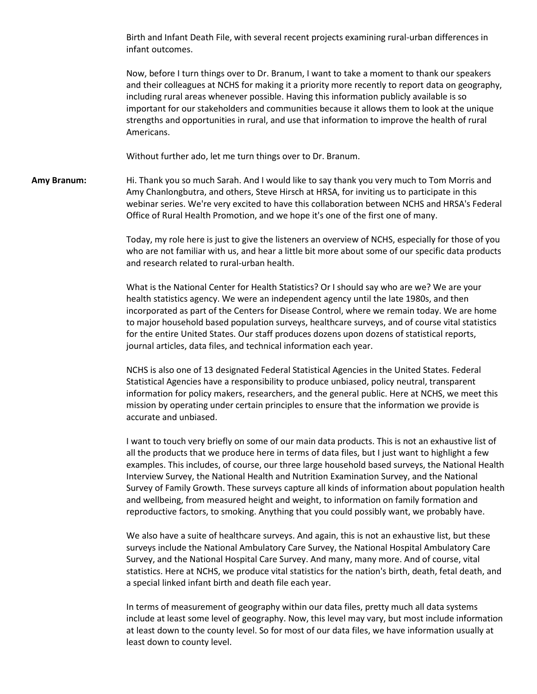Birth and Infant Death File, with several recent projects examining rural-urban differences in infant outcomes.

Now, before I turn things over to Dr. Branum, I want to take a moment to thank our speakers and their colleagues at NCHS for making it a priority more recently to report data on geography, including rural areas whenever possible. Having this information publicly available is so important for our stakeholders and communities because it allows them to look at the unique strengths and opportunities in rural, and use that information to improve the health of rural Americans.

Without further ado, let me turn things over to Dr. Branum.

**Amy Branum:** Hi. Thank you so much Sarah. And I would like to say thank you very much to Tom Morris and Amy Chanlongbutra, and others, Steve Hirsch at HRSA, for inviting us to participate in this webinar series. We're very excited to have this collaboration between NCHS and HRSA's Federal Office of Rural Health Promotion, and we hope it's one of the first one of many.

> Today, my role here is just to give the listeners an overview of NCHS, especially for those of you who are not familiar with us, and hear a little bit more about some of our specific data products and research related to rural-urban health.

> What is the National Center for Health Statistics? Or I should say who are we? We are your health statistics agency. We were an independent agency until the late 1980s, and then incorporated as part of the Centers for Disease Control, where we remain today. We are home to major household based population surveys, healthcare surveys, and of course vital statistics for the entire United States. Our staff produces dozens upon dozens of statistical reports, journal articles, data files, and technical information each year.

> NCHS is also one of 13 designated Federal Statistical Agencies in the United States. Federal Statistical Agencies have a responsibility to produce unbiased, policy neutral, transparent information for policy makers, researchers, and the general public. Here at NCHS, we meet this mission by operating under certain principles to ensure that the information we provide is accurate and unbiased.

I want to touch very briefly on some of our main data products. This is not an exhaustive list of all the products that we produce here in terms of data files, but I just want to highlight a few examples. This includes, of course, our three large household based surveys, the National Health Interview Survey, the National Health and Nutrition Examination Survey, and the National Survey of Family Growth. These surveys capture all kinds of information about population health and wellbeing, from measured height and weight, to information on family formation and reproductive factors, to smoking. Anything that you could possibly want, we probably have.

We also have a suite of healthcare surveys. And again, this is not an exhaustive list, but these surveys include the National Ambulatory Care Survey, the National Hospital Ambulatory Care Survey, and the National Hospital Care Survey. And many, many more. And of course, vital statistics. Here at NCHS, we produce vital statistics for the nation's birth, death, fetal death, and a special linked infant birth and death file each year.

In terms of measurement of geography within our data files, pretty much all data systems include at least some level of geography. Now, this level may vary, but most include information at least down to the county level. So for most of our data files, we have information usually at least down to county level.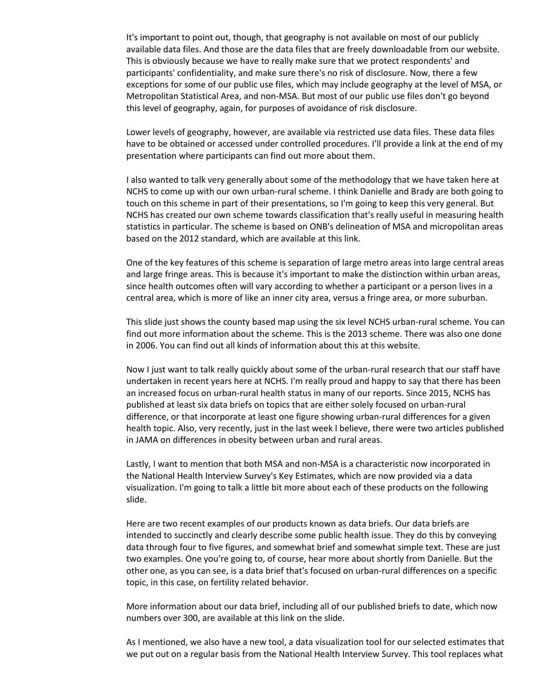It's important to point out, though, that geography is not available on most of our publicly available data files. And those are the data files that are freely downloadable from our website. This is obviously because we have to really make sure that we protect respondents' and participants' confidentiality, and make sure there's no risk of disclosure. Now, there a few exceptions for some of our public use files, which may include geography at the level of MSA, or Metropolitan Statistical Area, and non-MSA. But most of our public use files don't go beyond this level of geography, again, for purposes of avoidance of risk disclosure.

Lower levels of geography, however, are available via restricted use data files. These data files have to be obtained or accessed under controlled procedures. I'll provide a link at the end of my presentation where participants can find out more about them.

I also wanted to talk very generally about some of the methodology that we have taken here at NCHS to come up with our own urban-rural scheme. I think Danielle and Brady are both going to touch on this scheme in part of their presentations, so I'm going to keep this very general. But NCHS has created our own scheme towards classification that's really useful in measuring health statistics in particular. The scheme is based on ONB's delineation of MSA and micropolitan areas based on the 2012 standard, which are available at this link.

One of the key features of this scheme is separation of large metro areas into large central areas and large fringe areas. This is because it's important to make the distinction within urban areas, since health outcomes often will vary according to whether a participant or a person lives in a central area, which is more of like an inner city area, versus a fringe area, or more suburban.

This slide just shows the county based map using the six level NCHS urban-rural scheme. You can find out more information about the scheme. This is the 2013 scheme. There was also one done in 2006. You can find out all kinds of information about this at this website.

Now I just want to talk really quickly about some of the urban-rural research that our staff have undertaken in recent years here at NCHS. I'm really proud and happy to say that there has been an increased focus on urban-rural health status in many of our reports. Since 2015, NCHS has published at least six data briefs on topics that are either solely focused on urban-rural difference, or that incorporate at least one figure showing urban-rural differences for a given health topic. Also, very recently, just in the last week I believe, there were two articles published in JAMA on differences in obesity between urban and rural areas.

Lastly, I want to mention that both MSA and non-MSA is a characteristic now incorporated in the National Health Interview Survey's Key Estimates, which are now provided via a data visualization. I'm going to talk a little bit more about each of these products on the following slide.

Here are two recent examples of our products known as data briefs. Our data briefs are intended to succinctly and clearly describe some public health issue. They do this by conveying data through four to five figures, and somewhat brief and somewhat simple text. These are just two examples. One you're going to, of course, hear more about shortly from Danielle. But the other one, as you can see, is a data brief that's focused on urban-rural differences on a specific topic, in this case, on fertility related behavior.

More information about our data brief, including all of our published briefs to date, which now numbers over 300, are available at this link on the slide.

As I mentioned, we also have a new tool, a data visualization tool for our selected estimates that we put out on a regular basis from the National Health Interview Survey. This tool replaces what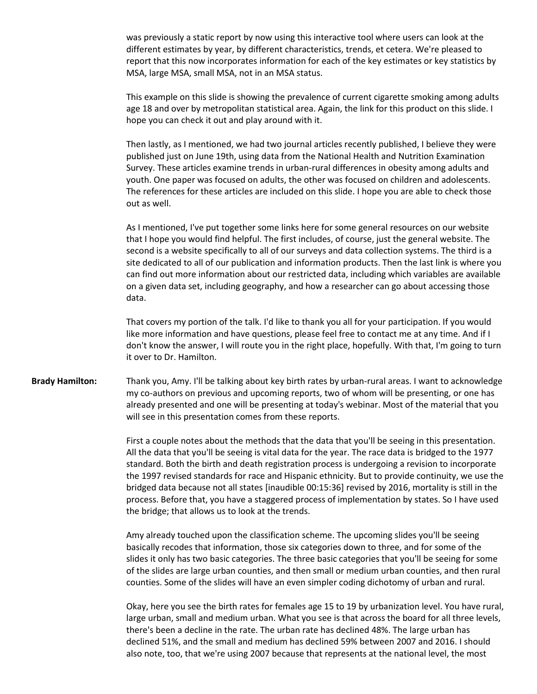was previously a static report by now using this interactive tool where users can look at the different estimates by year, by different characteristics, trends, et cetera. We're pleased to report that this now incorporates information for each of the key estimates or key statistics by MSA, large MSA, small MSA, not in an MSA status.

This example on this slide is showing the prevalence of current cigarette smoking among adults age 18 and over by metropolitan statistical area. Again, the link for this product on this slide. I hope you can check it out and play around with it.

Then lastly, as I mentioned, we had two journal articles recently published, I believe they were published just on June 19th, using data from the National Health and Nutrition Examination Survey. These articles examine trends in urban-rural differences in obesity among adults and youth. One paper was focused on adults, the other was focused on children and adolescents. The references for these articles are included on this slide. I hope you are able to check those out as well.

As I mentioned, I've put together some links here for some general resources on our website that I hope you would find helpful. The first includes, of course, just the general website. The second is a website specifically to all of our surveys and data collection systems. The third is a site dedicated to all of our publication and information products. Then the last link is where you can find out more information about our restricted data, including which variables are available on a given data set, including geography, and how a researcher can go about accessing those data.

That covers my portion of the talk. I'd like to thank you all for your participation. If you would like more information and have questions, please feel free to contact me at any time. And if I don't know the answer, I will route you in the right place, hopefully. With that, I'm going to turn it over to Dr. Hamilton.

**Brady Hamilton:** Thank you, Amy. I'll be talking about key birth rates by urban-rural areas. I want to acknowledge my co-authors on previous and upcoming reports, two of whom will be presenting, or one has already presented and one will be presenting at today's webinar. Most of the material that you will see in this presentation comes from these reports.

> First a couple notes about the methods that the data that you'll be seeing in this presentation. All the data that you'll be seeing is vital data for the year. The race data is bridged to the 1977 standard. Both the birth and death registration process is undergoing a revision to incorporate the 1997 revised standards for race and Hispanic ethnicity. But to provide continuity, we use the bridged data because not all states [inaudible 00:15:36] revised by 2016, mortality is still in the process. Before that, you have a staggered process of implementation by states. So I have used the bridge; that allows us to look at the trends.

> Amy already touched upon the classification scheme. The upcoming slides you'll be seeing basically recodes that information, those six categories down to three, and for some of the slides it only has two basic categories. The three basic categories that you'll be seeing for some of the slides are large urban counties, and then small or medium urban counties, and then rural counties. Some of the slides will have an even simpler coding dichotomy of urban and rural.

> Okay, here you see the birth rates for females age 15 to 19 by urbanization level. You have rural, large urban, small and medium urban. What you see is that across the board for all three levels, there's been a decline in the rate. The urban rate has declined 48%. The large urban has declined 51%, and the small and medium has declined 59% between 2007 and 2016. I should also note, too, that we're using 2007 because that represents at the national level, the most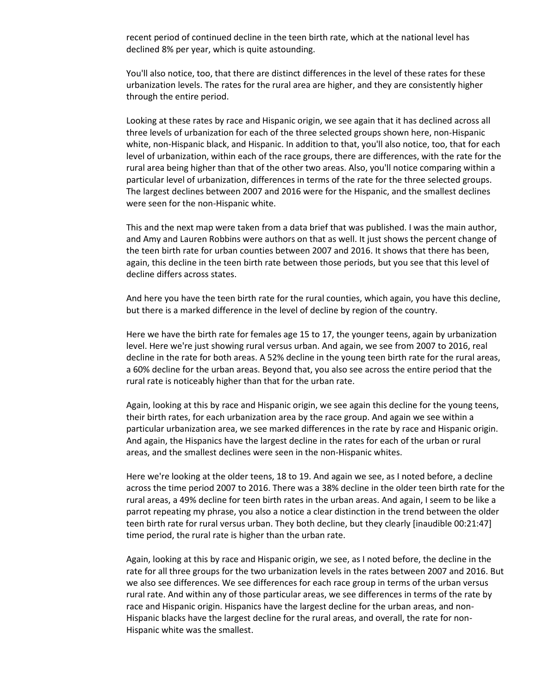recent period of continued decline in the teen birth rate, which at the national level has declined 8% per year, which is quite astounding.

You'll also notice, too, that there are distinct differences in the level of these rates for these urbanization levels. The rates for the rural area are higher, and they are consistently higher through the entire period.

Looking at these rates by race and Hispanic origin, we see again that it has declined across all three levels of urbanization for each of the three selected groups shown here, non-Hispanic white, non-Hispanic black, and Hispanic. In addition to that, you'll also notice, too, that for each level of urbanization, within each of the race groups, there are differences, with the rate for the rural area being higher than that of the other two areas. Also, you'll notice comparing within a particular level of urbanization, differences in terms of the rate for the three selected groups. The largest declines between 2007 and 2016 were for the Hispanic, and the smallest declines were seen for the non-Hispanic white.

This and the next map were taken from a data brief that was published. I was the main author, and Amy and Lauren Robbins were authors on that as well. It just shows the percent change of the teen birth rate for urban counties between 2007 and 2016. It shows that there has been, again, this decline in the teen birth rate between those periods, but you see that this level of decline differs across states.

And here you have the teen birth rate for the rural counties, which again, you have this decline, but there is a marked difference in the level of decline by region of the country.

Here we have the birth rate for females age 15 to 17, the younger teens, again by urbanization level. Here we're just showing rural versus urban. And again, we see from 2007 to 2016, real decline in the rate for both areas. A 52% decline in the young teen birth rate for the rural areas, a 60% decline for the urban areas. Beyond that, you also see across the entire period that the rural rate is noticeably higher than that for the urban rate.

Again, looking at this by race and Hispanic origin, we see again this decline for the young teens, their birth rates, for each urbanization area by the race group. And again we see within a particular urbanization area, we see marked differences in the rate by race and Hispanic origin. And again, the Hispanics have the largest decline in the rates for each of the urban or rural areas, and the smallest declines were seen in the non-Hispanic whites.

Here we're looking at the older teens, 18 to 19. And again we see, as I noted before, a decline across the time period 2007 to 2016. There was a 38% decline in the older teen birth rate for the rural areas, a 49% decline for teen birth rates in the urban areas. And again, I seem to be like a parrot repeating my phrase, you also a notice a clear distinction in the trend between the older teen birth rate for rural versus urban. They both decline, but they clearly [inaudible 00:21:47] time period, the rural rate is higher than the urban rate.

Again, looking at this by race and Hispanic origin, we see, as I noted before, the decline in the rate for all three groups for the two urbanization levels in the rates between 2007 and 2016. But we also see differences. We see differences for each race group in terms of the urban versus rural rate. And within any of those particular areas, we see differences in terms of the rate by race and Hispanic origin. Hispanics have the largest decline for the urban areas, and non-Hispanic blacks have the largest decline for the rural areas, and overall, the rate for non-Hispanic white was the smallest.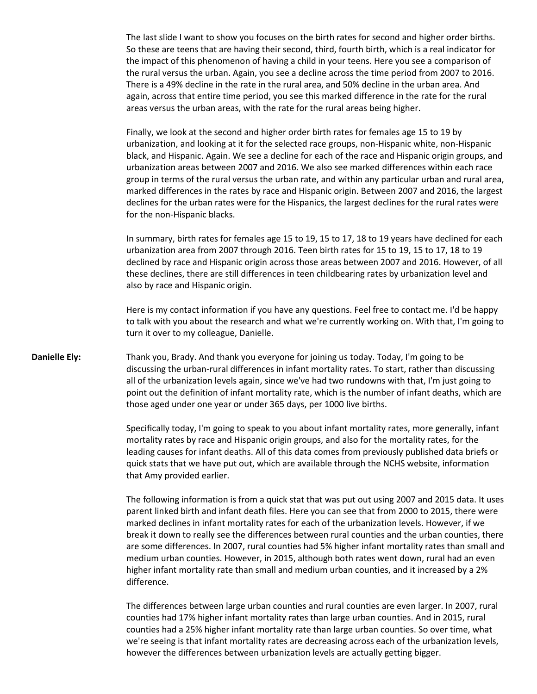The last slide I want to show you focuses on the birth rates for second and higher order births. So these are teens that are having their second, third, fourth birth, which is a real indicator for the impact of this phenomenon of having a child in your teens. Here you see a comparison of the rural versus the urban. Again, you see a decline across the time period from 2007 to 2016. There is a 49% decline in the rate in the rural area, and 50% decline in the urban area. And again, across that entire time period, you see this marked difference in the rate for the rural areas versus the urban areas, with the rate for the rural areas being higher.

Finally, we look at the second and higher order birth rates for females age 15 to 19 by urbanization, and looking at it for the selected race groups, non-Hispanic white, non-Hispanic black, and Hispanic. Again. We see a decline for each of the race and Hispanic origin groups, and urbanization areas between 2007 and 2016. We also see marked differences within each race group in terms of the rural versus the urban rate, and within any particular urban and rural area, marked differences in the rates by race and Hispanic origin. Between 2007 and 2016, the largest declines for the urban rates were for the Hispanics, the largest declines for the rural rates were for the non-Hispanic blacks.

In summary, birth rates for females age 15 to 19, 15 to 17, 18 to 19 years have declined for each urbanization area from 2007 through 2016. Teen birth rates for 15 to 19, 15 to 17, 18 to 19 declined by race and Hispanic origin across those areas between 2007 and 2016. However, of all these declines, there are still differences in teen childbearing rates by urbanization level and also by race and Hispanic origin.

Here is my contact information if you have any questions. Feel free to contact me. I'd be happy to talk with you about the research and what we're currently working on. With that, I'm going to turn it over to my colleague, Danielle.

**Danielle Ely:** Thank you, Brady. And thank you everyone for joining us today. Today, I'm going to be discussing the urban-rural differences in infant mortality rates. To start, rather than discussing all of the urbanization levels again, since we've had two rundowns with that, I'm just going to point out the definition of infant mortality rate, which is the number of infant deaths, which are those aged under one year or under 365 days, per 1000 live births.

> Specifically today, I'm going to speak to you about infant mortality rates, more generally, infant mortality rates by race and Hispanic origin groups, and also for the mortality rates, for the leading causes for infant deaths. All of this data comes from previously published data briefs or quick stats that we have put out, which are available through the NCHS website, information that Amy provided earlier.

The following information is from a quick stat that was put out using 2007 and 2015 data. It uses parent linked birth and infant death files. Here you can see that from 2000 to 2015, there were marked declines in infant mortality rates for each of the urbanization levels. However, if we break it down to really see the differences between rural counties and the urban counties, there are some differences. In 2007, rural counties had 5% higher infant mortality rates than small and medium urban counties. However, in 2015, although both rates went down, rural had an even higher infant mortality rate than small and medium urban counties, and it increased by a 2% difference.

The differences between large urban counties and rural counties are even larger. In 2007, rural counties had 17% higher infant mortality rates than large urban counties. And in 2015, rural counties had a 25% higher infant mortality rate than large urban counties. So over time, what we're seeing is that infant mortality rates are decreasing across each of the urbanization levels, however the differences between urbanization levels are actually getting bigger.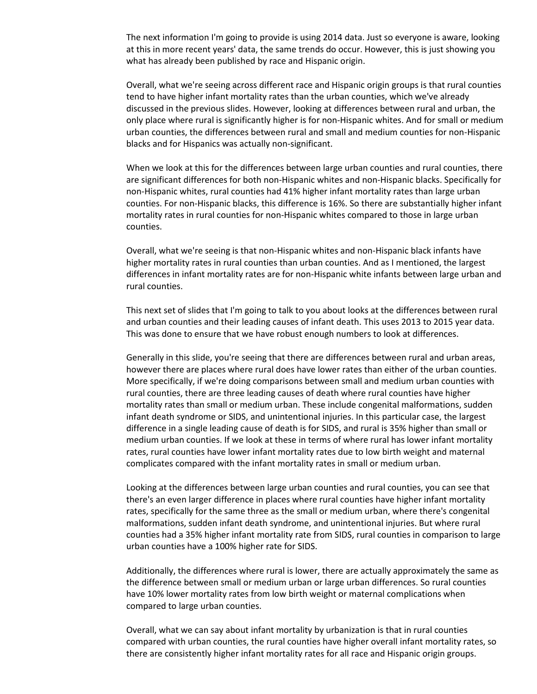The next information I'm going to provide is using 2014 data. Just so everyone is aware, looking at this in more recent years' data, the same trends do occur. However, this is just showing you what has already been published by race and Hispanic origin.

Overall, what we're seeing across different race and Hispanic origin groups is that rural counties tend to have higher infant mortality rates than the urban counties, which we've already discussed in the previous slides. However, looking at differences between rural and urban, the only place where rural is significantly higher is for non-Hispanic whites. And for small or medium urban counties, the differences between rural and small and medium counties for non-Hispanic blacks and for Hispanics was actually non-significant.

When we look at this for the differences between large urban counties and rural counties, there are significant differences for both non-Hispanic whites and non-Hispanic blacks. Specifically for non-Hispanic whites, rural counties had 41% higher infant mortality rates than large urban counties. For non-Hispanic blacks, this difference is 16%. So there are substantially higher infant mortality rates in rural counties for non-Hispanic whites compared to those in large urban counties.

Overall, what we're seeing is that non-Hispanic whites and non-Hispanic black infants have higher mortality rates in rural counties than urban counties. And as I mentioned, the largest differences in infant mortality rates are for non-Hispanic white infants between large urban and rural counties.

This next set of slides that I'm going to talk to you about looks at the differences between rural and urban counties and their leading causes of infant death. This uses 2013 to 2015 year data. This was done to ensure that we have robust enough numbers to look at differences.

Generally in this slide, you're seeing that there are differences between rural and urban areas, however there are places where rural does have lower rates than either of the urban counties. More specifically, if we're doing comparisons between small and medium urban counties with rural counties, there are three leading causes of death where rural counties have higher mortality rates than small or medium urban. These include congenital malformations, sudden infant death syndrome or SIDS, and unintentional injuries. In this particular case, the largest difference in a single leading cause of death is for SIDS, and rural is 35% higher than small or medium urban counties. If we look at these in terms of where rural has lower infant mortality rates, rural counties have lower infant mortality rates due to low birth weight and maternal complicates compared with the infant mortality rates in small or medium urban.

Looking at the differences between large urban counties and rural counties, you can see that there's an even larger difference in places where rural counties have higher infant mortality rates, specifically for the same three as the small or medium urban, where there's congenital malformations, sudden infant death syndrome, and unintentional injuries. But where rural counties had a 35% higher infant mortality rate from SIDS, rural counties in comparison to large urban counties have a 100% higher rate for SIDS.

Additionally, the differences where rural is lower, there are actually approximately the same as the difference between small or medium urban or large urban differences. So rural counties have 10% lower mortality rates from low birth weight or maternal complications when compared to large urban counties.

Overall, what we can say about infant mortality by urbanization is that in rural counties compared with urban counties, the rural counties have higher overall infant mortality rates, so there are consistently higher infant mortality rates for all race and Hispanic origin groups.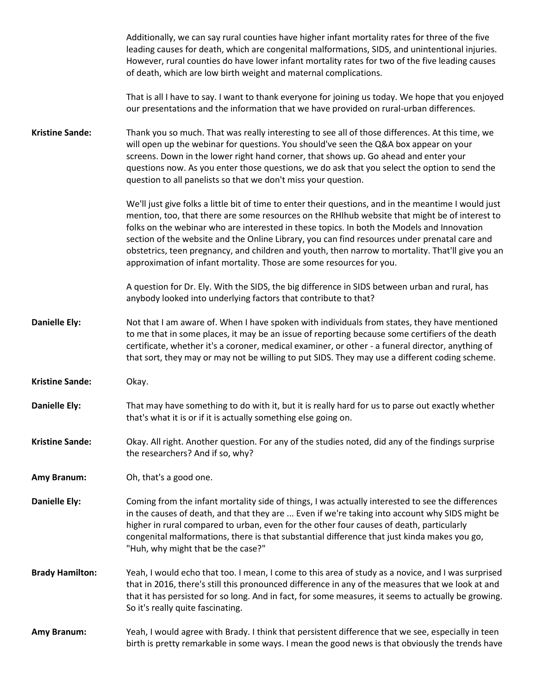|                        | Additionally, we can say rural counties have higher infant mortality rates for three of the five<br>leading causes for death, which are congenital malformations, SIDS, and unintentional injuries.<br>However, rural counties do have lower infant mortality rates for two of the five leading causes<br>of death, which are low birth weight and maternal complications.                                                                                                                                                                                                          |
|------------------------|-------------------------------------------------------------------------------------------------------------------------------------------------------------------------------------------------------------------------------------------------------------------------------------------------------------------------------------------------------------------------------------------------------------------------------------------------------------------------------------------------------------------------------------------------------------------------------------|
|                        | That is all I have to say. I want to thank everyone for joining us today. We hope that you enjoyed<br>our presentations and the information that we have provided on rural-urban differences.                                                                                                                                                                                                                                                                                                                                                                                       |
| <b>Kristine Sande:</b> | Thank you so much. That was really interesting to see all of those differences. At this time, we<br>will open up the webinar for questions. You should've seen the Q&A box appear on your<br>screens. Down in the lower right hand corner, that shows up. Go ahead and enter your<br>questions now. As you enter those questions, we do ask that you select the option to send the<br>question to all panelists so that we don't miss your question.                                                                                                                                |
|                        | We'll just give folks a little bit of time to enter their questions, and in the meantime I would just<br>mention, too, that there are some resources on the RHIhub website that might be of interest to<br>folks on the webinar who are interested in these topics. In both the Models and Innovation<br>section of the website and the Online Library, you can find resources under prenatal care and<br>obstetrics, teen pregnancy, and children and youth, then narrow to mortality. That'll give you an<br>approximation of infant mortality. Those are some resources for you. |
|                        | A question for Dr. Ely. With the SIDS, the big difference in SIDS between urban and rural, has<br>anybody looked into underlying factors that contribute to that?                                                                                                                                                                                                                                                                                                                                                                                                                   |
| <b>Danielle Ely:</b>   | Not that I am aware of. When I have spoken with individuals from states, they have mentioned<br>to me that in some places, it may be an issue of reporting because some certifiers of the death<br>certificate, whether it's a coroner, medical examiner, or other - a funeral director, anything of<br>that sort, they may or may not be willing to put SIDS. They may use a different coding scheme.                                                                                                                                                                              |
| <b>Kristine Sande:</b> | Okay.                                                                                                                                                                                                                                                                                                                                                                                                                                                                                                                                                                               |
| <b>Danielle Ely:</b>   | That may have something to do with it, but it is really hard for us to parse out exactly whether<br>that's what it is or if it is actually something else going on.                                                                                                                                                                                                                                                                                                                                                                                                                 |
| <b>Kristine Sande:</b> | Okay. All right. Another question. For any of the studies noted, did any of the findings surprise<br>the researchers? And if so, why?                                                                                                                                                                                                                                                                                                                                                                                                                                               |
| <b>Amy Branum:</b>     | Oh, that's a good one.                                                                                                                                                                                                                                                                                                                                                                                                                                                                                                                                                              |
| <b>Danielle Ely:</b>   | Coming from the infant mortality side of things, I was actually interested to see the differences<br>in the causes of death, and that they are  Even if we're taking into account why SIDS might be<br>higher in rural compared to urban, even for the other four causes of death, particularly<br>congenital malformations, there is that substantial difference that just kinda makes you go,<br>"Huh, why might that be the case?"                                                                                                                                               |
| <b>Brady Hamilton:</b> | Yeah, I would echo that too. I mean, I come to this area of study as a novice, and I was surprised<br>that in 2016, there's still this pronounced difference in any of the measures that we look at and<br>that it has persisted for so long. And in fact, for some measures, it seems to actually be growing.<br>So it's really quite fascinating.                                                                                                                                                                                                                                 |
| <b>Amy Branum:</b>     | Yeah, I would agree with Brady. I think that persistent difference that we see, especially in teen<br>birth is pretty remarkable in some ways. I mean the good news is that obviously the trends have                                                                                                                                                                                                                                                                                                                                                                               |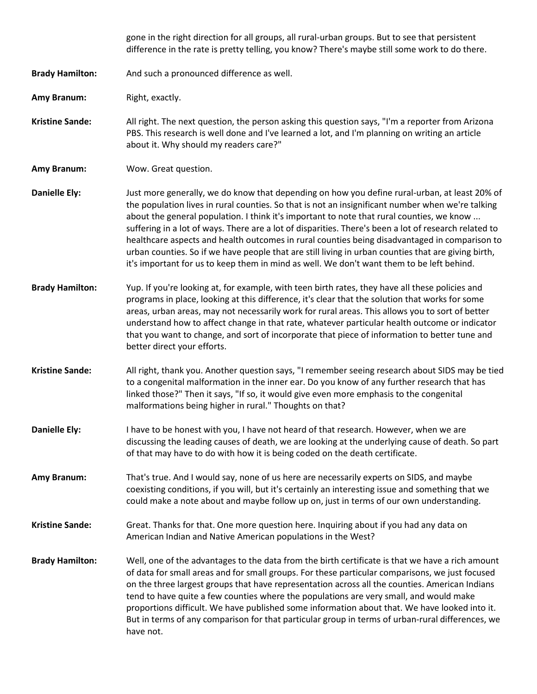|                        | gone in the right direction for all groups, all rural-urban groups. But to see that persistent<br>difference in the rate is pretty telling, you know? There's maybe still some work to do there.                                                                                                                                                                                                                                                                                                                                                                                                                                                                                                              |
|------------------------|---------------------------------------------------------------------------------------------------------------------------------------------------------------------------------------------------------------------------------------------------------------------------------------------------------------------------------------------------------------------------------------------------------------------------------------------------------------------------------------------------------------------------------------------------------------------------------------------------------------------------------------------------------------------------------------------------------------|
| <b>Brady Hamilton:</b> | And such a pronounced difference as well.                                                                                                                                                                                                                                                                                                                                                                                                                                                                                                                                                                                                                                                                     |
| Amy Branum:            | Right, exactly.                                                                                                                                                                                                                                                                                                                                                                                                                                                                                                                                                                                                                                                                                               |
| <b>Kristine Sande:</b> | All right. The next question, the person asking this question says, "I'm a reporter from Arizona<br>PBS. This research is well done and I've learned a lot, and I'm planning on writing an article<br>about it. Why should my readers care?"                                                                                                                                                                                                                                                                                                                                                                                                                                                                  |
| Amy Branum:            | Wow. Great question.                                                                                                                                                                                                                                                                                                                                                                                                                                                                                                                                                                                                                                                                                          |
| <b>Danielle Ely:</b>   | Just more generally, we do know that depending on how you define rural-urban, at least 20% of<br>the population lives in rural counties. So that is not an insignificant number when we're talking<br>about the general population. I think it's important to note that rural counties, we know<br>suffering in a lot of ways. There are a lot of disparities. There's been a lot of research related to<br>healthcare aspects and health outcomes in rural counties being disadvantaged in comparison to<br>urban counties. So if we have people that are still living in urban counties that are giving birth,<br>it's important for us to keep them in mind as well. We don't want them to be left behind. |
| <b>Brady Hamilton:</b> | Yup. If you're looking at, for example, with teen birth rates, they have all these policies and<br>programs in place, looking at this difference, it's clear that the solution that works for some<br>areas, urban areas, may not necessarily work for rural areas. This allows you to sort of better<br>understand how to affect change in that rate, whatever particular health outcome or indicator<br>that you want to change, and sort of incorporate that piece of information to better tune and<br>better direct your efforts.                                                                                                                                                                        |
| <b>Kristine Sande:</b> | All right, thank you. Another question says, "I remember seeing research about SIDS may be tied<br>to a congenital malformation in the inner ear. Do you know of any further research that has<br>linked those?" Then it says, "If so, it would give even more emphasis to the congenital<br>malformations being higher in rural." Thoughts on that?                                                                                                                                                                                                                                                                                                                                                          |
| <b>Danielle Ely:</b>   | I have to be honest with you, I have not heard of that research. However, when we are<br>discussing the leading causes of death, we are looking at the underlying cause of death. So part<br>of that may have to do with how it is being coded on the death certificate.                                                                                                                                                                                                                                                                                                                                                                                                                                      |
| <b>Amy Branum:</b>     | That's true. And I would say, none of us here are necessarily experts on SIDS, and maybe<br>coexisting conditions, if you will, but it's certainly an interesting issue and something that we<br>could make a note about and maybe follow up on, just in terms of our own understanding.                                                                                                                                                                                                                                                                                                                                                                                                                      |
| <b>Kristine Sande:</b> | Great. Thanks for that. One more question here. Inquiring about if you had any data on<br>American Indian and Native American populations in the West?                                                                                                                                                                                                                                                                                                                                                                                                                                                                                                                                                        |
| <b>Brady Hamilton:</b> | Well, one of the advantages to the data from the birth certificate is that we have a rich amount<br>of data for small areas and for small groups. For these particular comparisons, we just focused<br>on the three largest groups that have representation across all the counties. American Indians<br>tend to have quite a few counties where the populations are very small, and would make<br>proportions difficult. We have published some information about that. We have looked into it.<br>But in terms of any comparison for that particular group in terms of urban-rural differences, we<br>have not.                                                                                             |